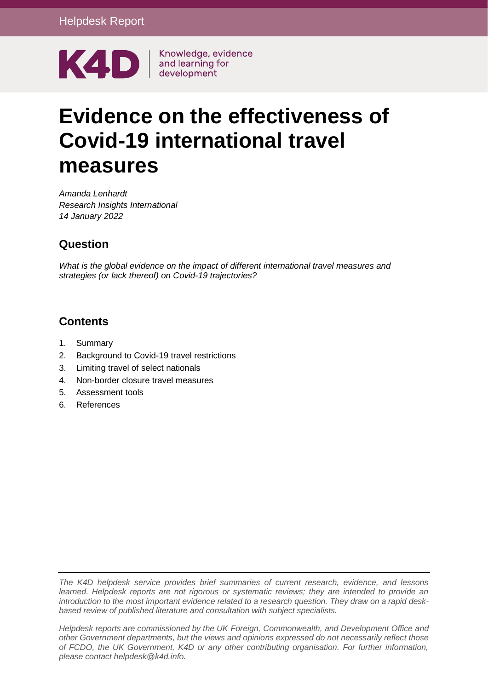

# **Evidence on the effectiveness of Covid-19 international travel measures**

*Amanda Lenhardt Research Insights International 14 January 2022*

#### **Question**

*What is the global evidence on the impact of different international travel measures and strategies (or lack thereof) on Covid-19 trajectories?*

#### **Contents**

- 1. [Summary](#page-1-0)
- 2. [Background to Covid-19 travel restrictions](#page-2-0)
- 3. [Limiting travel of select nationals](#page-4-0)
- 4. [Non-border closure travel measures](#page-5-0)
- 5. [Assessment tools](#page-7-0)
- 6. [References](#page-8-0)

*The K4D helpdesk service provides brief summaries of current research, evidence, and lessons learned. Helpdesk reports are not rigorous or systematic reviews; they are intended to provide an introduction to the most important evidence related to a research question. They draw on a rapid deskbased review of published literature and consultation with subject specialists.* 

*Helpdesk reports are commissioned by the UK Foreign, Commonwealth, and Development Office and other Government departments, but the views and opinions expressed do not necessarily reflect those of FCDO, the UK Government, K4D or any other contributing organisation. For further information, please contact helpdesk@k4d.info.*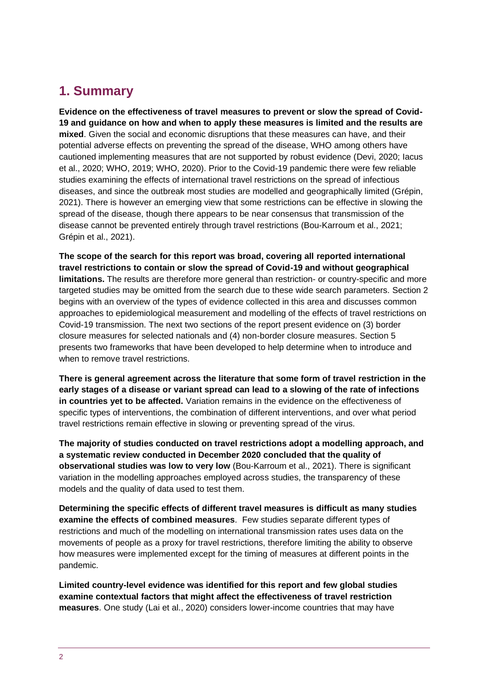# <span id="page-1-0"></span>**1. Summary**

**Evidence on the effectiveness of travel measures to prevent or slow the spread of Covid-19 and guidance on how and when to apply these measures is limited and the results are mixed**. Given the social and economic disruptions that these measures can have, and their potential adverse effects on preventing the spread of the disease, WHO among others have cautioned implementing measures that are not supported by robust evidence (Devi, 2020; Iacus et al., 2020; WHO, 2019; WHO, 2020). Prior to the Covid-19 pandemic there were few reliable studies examining the effects of international travel restrictions on the spread of infectious diseases, and since the outbreak most studies are modelled and geographically limited (Grépin, 2021). There is however an emerging view that some restrictions can be effective in slowing the spread of the disease, though there appears to be near consensus that transmission of the disease cannot be prevented entirely through travel restrictions (Bou-Karroum et al., 2021; Grépin et al., 2021).

**The scope of the search for this report was broad, covering all reported international travel restrictions to contain or slow the spread of Covid-19 and without geographical limitations.** The results are therefore more general than restriction- or country-specific and more targeted studies may be omitted from the search due to these wide search parameters. Section 2 begins with an overview of the types of evidence collected in this area and discusses common approaches to epidemiological measurement and modelling of the effects of travel restrictions on Covid-19 transmission. The next two sections of the report present evidence on (3) border closure measures for selected nationals and (4) non-border closure measures. Section 5 presents two frameworks that have been developed to help determine when to introduce and when to remove travel restrictions.

**There is general agreement across the literature that some form of travel restriction in the early stages of a disease or variant spread can lead to a slowing of the rate of infections in countries yet to be affected.** Variation remains in the evidence on the effectiveness of specific types of interventions, the combination of different interventions, and over what period travel restrictions remain effective in slowing or preventing spread of the virus.

**The majority of studies conducted on travel restrictions adopt a modelling approach, and a systematic review conducted in December 2020 concluded that the quality of observational studies was low to very low** (Bou-Karroum et al., 2021). There is significant variation in the modelling approaches employed across studies, the transparency of these models and the quality of data used to test them.

**Determining the specific effects of different travel measures is difficult as many studies examine the effects of combined measures**. Few studies separate different types of restrictions and much of the modelling on international transmission rates uses data on the movements of people as a proxy for travel restrictions, therefore limiting the ability to observe how measures were implemented except for the timing of measures at different points in the pandemic.

**Limited country-level evidence was identified for this report and few global studies examine contextual factors that might affect the effectiveness of travel restriction measures**. One study (Lai et al., 2020) considers lower-income countries that may have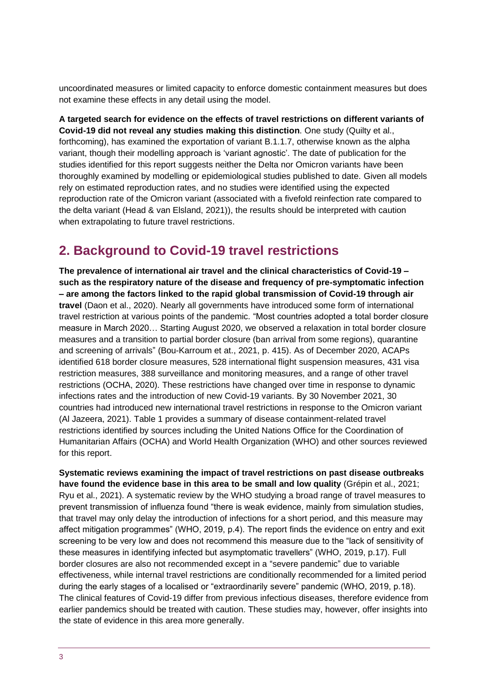uncoordinated measures or limited capacity to enforce domestic containment measures but does not examine these effects in any detail using the model.

**A targeted search for evidence on the effects of travel restrictions on different variants of Covid-19 did not reveal any studies making this distinction**. One study (Quilty et al., forthcoming), has examined the exportation of variant B.1.1.7, otherwise known as the alpha variant, though their modelling approach is 'variant agnostic'. The date of publication for the studies identified for this report suggests neither the Delta nor Omicron variants have been thoroughly examined by modelling or epidemiological studies published to date. Given all models rely on estimated reproduction rates, and no studies were identified using the expected reproduction rate of the Omicron variant (associated with a fivefold reinfection rate compared to the delta variant (Head & van Elsland, 2021)), the results should be interpreted with caution when extrapolating to future travel restrictions.

## <span id="page-2-0"></span>**2. Background to Covid-19 travel restrictions**

**The prevalence of international air travel and the clinical characteristics of Covid-19 – such as the respiratory nature of the disease and frequency of pre-symptomatic infection – are among the factors linked to the rapid global transmission of Covid-19 through air travel** (Daon et al., 2020). Nearly all governments have introduced some form of international travel restriction at various points of the pandemic. "Most countries adopted a total border closure measure in March 2020… Starting August 2020, we observed a relaxation in total border closure measures and a transition to partial border closure (ban arrival from some regions), quarantine and screening of arrivals" (Bou-Karroum et at., 2021, p. 415). As of December 2020, ACAPs identified 618 border closure measures, 528 international flight suspension measures, 431 visa restriction measures, 388 surveillance and monitoring measures, and a range of other travel restrictions (OCHA, 2020). These restrictions have changed over time in response to dynamic infections rates and the introduction of new Covid-19 variants. By 30 November 2021, 30 countries had introduced new international travel restrictions in response to the Omicron variant (Al Jazeera, 2021). Table 1 provides a summary of disease containment-related travel restrictions identified by sources including the United Nations Office for the Coordination of Humanitarian Affairs (OCHA) and World Health Organization (WHO) and other sources reviewed for this report.

**Systematic reviews examining the impact of travel restrictions on past disease outbreaks have found the evidence base in this area to be small and low quality** (Grépin et al., 2021; Ryu et al., 2021). A systematic review by the WHO studying a broad range of travel measures to prevent transmission of influenza found "there is weak evidence, mainly from simulation studies, that travel may only delay the introduction of infections for a short period, and this measure may affect mitigation programmes" (WHO, 2019, p.4). The report finds the evidence on entry and exit screening to be very low and does not recommend this measure due to the "lack of sensitivity of these measures in identifying infected but asymptomatic travellers" (WHO, 2019, p.17). Full border closures are also not recommended except in a "severe pandemic" due to variable effectiveness, while internal travel restrictions are conditionally recommended for a limited period during the early stages of a localised or "extraordinarily severe" pandemic (WHO, 2019, p.18). The clinical features of Covid-19 differ from previous infectious diseases, therefore evidence from earlier pandemics should be treated with caution. These studies may, however, offer insights into the state of evidence in this area more generally.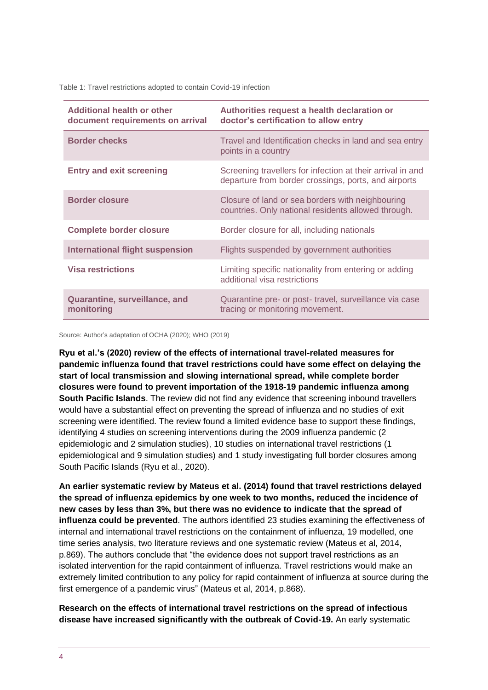Table 1: Travel restrictions adopted to contain Covid-19 infection

| Additional health or other<br>document requirements on arrival | Authorities request a health declaration or<br>doctor's certification to allow entry                               |
|----------------------------------------------------------------|--------------------------------------------------------------------------------------------------------------------|
| <b>Border checks</b>                                           | Travel and Identification checks in land and sea entry<br>points in a country                                      |
| <b>Entry and exit screening</b>                                | Screening travellers for infection at their arrival in and<br>departure from border crossings, ports, and airports |
| <b>Border closure</b>                                          | Closure of land or sea borders with neighbouring<br>countries. Only national residents allowed through.            |
| <b>Complete border closure</b>                                 | Border closure for all, including nationals                                                                        |
| <b>International flight suspension</b>                         | Flights suspended by government authorities                                                                        |
| <b>Visa restrictions</b>                                       | Limiting specific nationality from entering or adding<br>additional visa restrictions                              |
| Quarantine, surveillance, and<br>monitoring                    | Quarantine pre- or post-travel, surveillance via case<br>tracing or monitoring movement.                           |

Source: Author's adaptation of OCHA (2020); WHO (2019)

**Ryu et al.'s (2020) review of the effects of international travel-related measures for pandemic influenza found that travel restrictions could have some effect on delaying the start of local transmission and slowing international spread, while complete border closures were found to prevent importation of the 1918-19 pandemic influenza among South Pacific Islands**. The review did not find any evidence that screening inbound travellers would have a substantial effect on preventing the spread of influenza and no studies of exit screening were identified. The review found a limited evidence base to support these findings, identifying 4 studies on screening interventions during the 2009 influenza pandemic (2 epidemiologic and 2 simulation studies), 10 studies on international travel restrictions (1 epidemiological and 9 simulation studies) and 1 study investigating full border closures among South Pacific Islands (Ryu et al., 2020).

**An earlier systematic review by Mateus et al. (2014) found that travel restrictions delayed the spread of influenza epidemics by one week to two months, reduced the incidence of new cases by less than 3%, but there was no evidence to indicate that the spread of influenza could be prevented**. The authors identified 23 studies examining the effectiveness of internal and international travel restrictions on the containment of influenza, 19 modelled, one time series analysis, two literature reviews and one systematic review (Mateus et al, 2014, p.869). The authors conclude that "the evidence does not support travel restrictions as an isolated intervention for the rapid containment of influenza. Travel restrictions would make an extremely limited contribution to any policy for rapid containment of influenza at source during the first emergence of a pandemic virus" (Mateus et al, 2014, p.868).

**Research on the effects of international travel restrictions on the spread of infectious disease have increased significantly with the outbreak of Covid-19.** An early systematic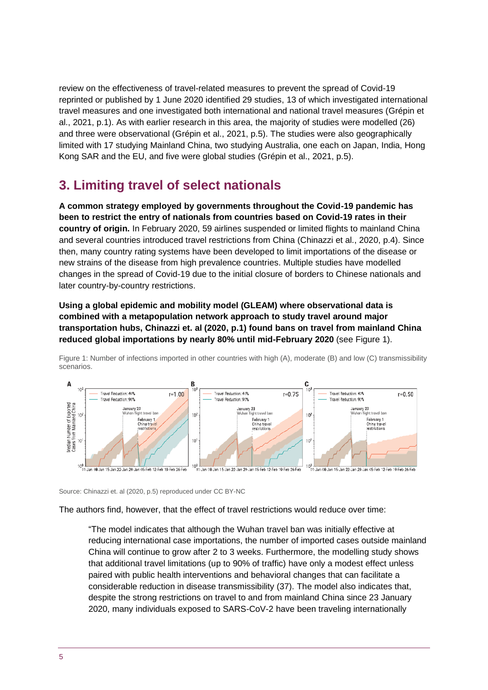review on the effectiveness of travel-related measures to prevent the spread of Covid-19 reprinted or published by 1 June 2020 identified 29 studies, 13 of which investigated international travel measures and one investigated both international and national travel measures (Grépin et al., 2021, p.1). As with earlier research in this area, the majority of studies were modelled (26) and three were observational (Grépin et al., 2021, p.5). The studies were also geographically limited with 17 studying Mainland China, two studying Australia, one each on Japan, India, Hong Kong SAR and the EU, and five were global studies (Grépin et al., 2021, p.5).

## <span id="page-4-0"></span>**3. Limiting travel of select nationals**

**A common strategy employed by governments throughout the Covid-19 pandemic has been to restrict the entry of nationals from countries based on Covid-19 rates in their country of origin.** In February 2020, 59 airlines suspended or limited flights to mainland China and several countries introduced travel restrictions from China (Chinazzi et al., 2020, p.4). Since then, many country rating systems have been developed to limit importations of the disease or new strains of the disease from high prevalence countries. Multiple studies have modelled changes in the spread of Covid-19 due to the initial closure of borders to Chinese nationals and later country-by-country restrictions.

**Using a global epidemic and mobility model (GLEAM) where observational data is combined with a metapopulation network approach to study travel around major transportation hubs, Chinazzi et. al (2020, p.1) found bans on travel from mainland China reduced global importations by nearly 80% until mid-February 2020** (see Figure 1).



Figure 1: Number of infections imported in other countries with high (A), moderate (B) and low (C) transmissibility scenarios.

Source: Chinazzi et. al (2020, p.5) reproduced under CC BY-NC

The authors find, however, that the effect of travel restrictions would reduce over time:

"The model indicates that although the Wuhan travel ban was initially effective at reducing international case importations, the number of imported cases outside mainland China will continue to grow after 2 to 3 weeks. Furthermore, the modelling study shows that additional travel limitations (up to 90% of traffic) have only a modest effect unless paired with public health interventions and behavioral changes that can facilitate a considerable reduction in disease transmissibility (37). The model also indicates that, despite the strong restrictions on travel to and from mainland China since 23 January 2020, many individuals exposed to SARS-CoV-2 have been traveling internationally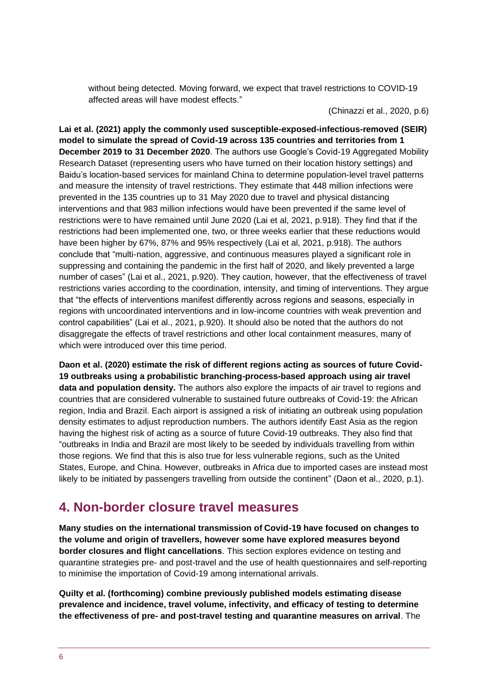without being detected. Moving forward, we expect that travel restrictions to COVID-19 affected areas will have modest effects."

(Chinazzi et al., 2020, p.6)

**Lai et al. (2021) apply the commonly used susceptible-exposed-infectious-removed (SEIR) model to simulate the spread of Covid-19 across 135 countries and territories from 1 December 2019 to 31 December 2020**. The authors use Google's Covid-19 Aggregated Mobility Research Dataset (representing users who have turned on their location history settings) and Baidu's location-based services for mainland China to determine population-level travel patterns and measure the intensity of travel restrictions. They estimate that 448 million infections were prevented in the 135 countries up to 31 May 2020 due to travel and physical distancing interventions and that 983 million infections would have been prevented if the same level of restrictions were to have remained until June 2020 (Lai et al, 2021, p.918). They find that if the restrictions had been implemented one, two, or three weeks earlier that these reductions would have been higher by 67%, 87% and 95% respectively (Lai et al, 2021, p.918). The authors conclude that "multi-nation, aggressive, and continuous measures played a significant role in suppressing and containing the pandemic in the first half of 2020, and likely prevented a large number of cases" (Lai et al., 2021, p.920). They caution, however, that the effectiveness of travel restrictions varies according to the coordination, intensity, and timing of interventions. They argue that "the effects of interventions manifest differently across regions and seasons, especially in regions with uncoordinated interventions and in low-income countries with weak prevention and control capabilities" (Lai et al., 2021, p.920). It should also be noted that the authors do not disaggregate the effects of travel restrictions and other local containment measures, many of which were introduced over this time period.

**Daon et al. (2020) estimate the risk of different regions acting as sources of future Covid-19 outbreaks using a probabilistic branching-process-based approach using air travel data and population density.** The authors also explore the impacts of air travel to regions and countries that are considered vulnerable to sustained future outbreaks of Covid-19: the African region, India and Brazil. Each airport is assigned a risk of initiating an outbreak using population density estimates to adjust reproduction numbers. The authors identify East Asia as the region having the highest risk of acting as a source of future Covid-19 outbreaks. They also find that "outbreaks in India and Brazil are most likely to be seeded by individuals travelling from within those regions. We find that this is also true for less vulnerable regions, such as the United States, Europe, and China. However, outbreaks in Africa due to imported cases are instead most likely to be initiated by passengers travelling from outside the continent" (Daon et al., 2020, p.1).

# <span id="page-5-0"></span>**4. Non-border closure travel measures**

**Many studies on the international transmission of Covid-19 have focused on changes to the volume and origin of travellers, however some have explored measures beyond border closures and flight cancellations**. This section explores evidence on testing and quarantine strategies pre- and post-travel and the use of health questionnaires and self-reporting to minimise the importation of Covid-19 among international arrivals.

**Quilty et al. (forthcoming) combine previously published models estimating disease prevalence and incidence, travel volume, infectivity, and efficacy of testing to determine the effectiveness of pre- and post-travel testing and quarantine measures on arrival**. The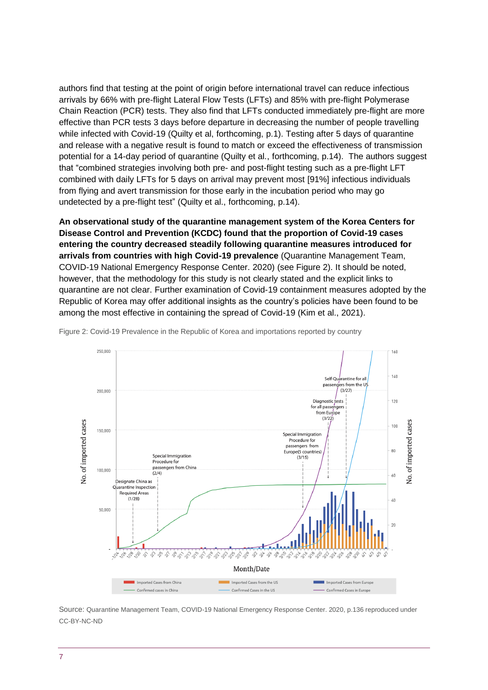authors find that testing at the point of origin before international travel can reduce infectious arrivals by 66% with pre-flight Lateral Flow Tests (LFTs) and 85% with pre-flight Polymerase Chain Reaction (PCR) tests. They also find that LFTs conducted immediately pre-flight are more effective than PCR tests 3 days before departure in decreasing the number of people travelling while infected with Covid-19 (Quilty et al, forthcoming, p.1). Testing after 5 days of quarantine and release with a negative result is found to match or exceed the effectiveness of transmission potential for a 14-day period of quarantine (Quilty et al., forthcoming, p.14). The authors suggest that "combined strategies involving both pre- and post-flight testing such as a pre-flight LFT combined with daily LFTs for 5 days on arrival may prevent most [91%] infectious individuals from flying and avert transmission for those early in the incubation period who may go undetected by a pre-flight test" (Quilty et al., forthcoming, p.14).

**An observational study of the quarantine management system of the Korea Centers for Disease Control and Prevention (KCDC) found that the proportion of Covid-19 cases entering the country decreased steadily following quarantine measures introduced for arrivals from countries with high Covid-19 prevalence** (Quarantine Management Team, COVID-19 National Emergency Response Center. 2020) (see Figure 2). It should be noted, however, that the methodology for this study is not clearly stated and the explicit links to quarantine are not clear. Further examination of Covid-19 containment measures adopted by the Republic of Korea may offer additional insights as the country's policies have been found to be among the most effective in containing the spread of Covid-19 (Kim et al., 2021).



Figure 2: Covid-19 Prevalence in the Republic of Korea and importations reported by country

Source: Quarantine Management Team, COVID-19 National Emergency Response Center. 2020, p.136 reproduced under CC-BY-NC-ND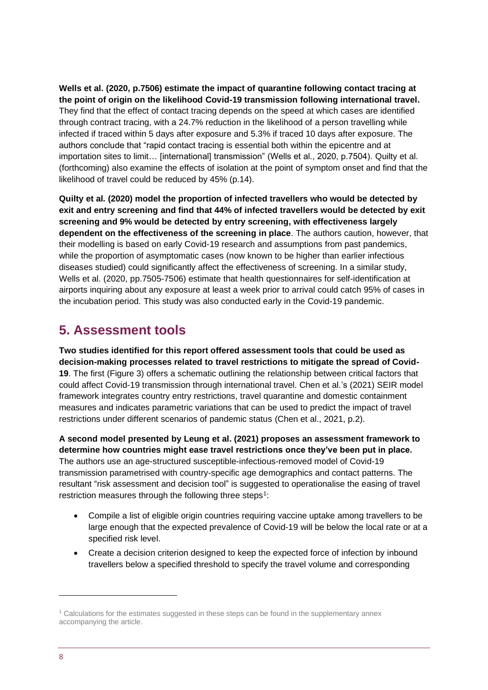**Wells et al. (2020, p.7506) estimate the impact of quarantine following contact tracing at the point of origin on the likelihood Covid-19 transmission following international travel.** They find that the effect of contact tracing depends on the speed at which cases are identified through contract tracing, with a 24.7% reduction in the likelihood of a person travelling while infected if traced within 5 days after exposure and 5.3% if traced 10 days after exposure. The authors conclude that "rapid contact tracing is essential both within the epicentre and at importation sites to limit… [international] transmission" (Wells et al., 2020, p.7504). Quilty et al. (forthcoming) also examine the effects of isolation at the point of symptom onset and find that the likelihood of travel could be reduced by 45% (p.14).

**Quilty et al. (2020) model the proportion of infected travellers who would be detected by exit and entry screening and find that 44% of infected travellers would be detected by exit screening and 9% would be detected by entry screening, with effectiveness largely dependent on the effectiveness of the screening in place**. The authors caution, however, that their modelling is based on early Covid-19 research and assumptions from past pandemics, while the proportion of asymptomatic cases (now known to be higher than earlier infectious diseases studied) could significantly affect the effectiveness of screening. In a similar study, Wells et al. (2020, pp.7505-7506) estimate that health questionnaires for self-identification at airports inquiring about any exposure at least a week prior to arrival could catch 95% of cases in the incubation period. This study was also conducted early in the Covid-19 pandemic.

### <span id="page-7-0"></span>**5. Assessment tools**

**Two studies identified for this report offered assessment tools that could be used as decision-making processes related to travel restrictions to mitigate the spread of Covid-19**. The first (Figure 3) offers a schematic outlining the relationship between critical factors that could affect Covid-19 transmission through international travel. Chen et al.'s (2021) SEIR model framework integrates country entry restrictions, travel quarantine and domestic containment measures and indicates parametric variations that can be used to predict the impact of travel restrictions under different scenarios of pandemic status (Chen et al., 2021, p.2).

**A second model presented by Leung et al. (2021) proposes an assessment framework to determine how countries might ease travel restrictions once they've been put in place.** The authors use an age-structured susceptible-infectious-removed model of Covid-19 transmission parametrised with country-specific age demographics and contact patterns. The resultant "risk assessment and decision tool" is suggested to operationalise the easing of travel restriction measures through the following three steps<sup>1</sup>:

- Compile a list of eligible origin countries requiring vaccine uptake among travellers to be large enough that the expected prevalence of Covid-19 will be below the local rate or at a specified risk level.
- Create a decision criterion designed to keep the expected force of infection by inbound travellers below a specified threshold to specify the travel volume and corresponding

<sup>1</sup> Calculations for the estimates suggested in these steps can be found in the supplementary annex accompanying the article.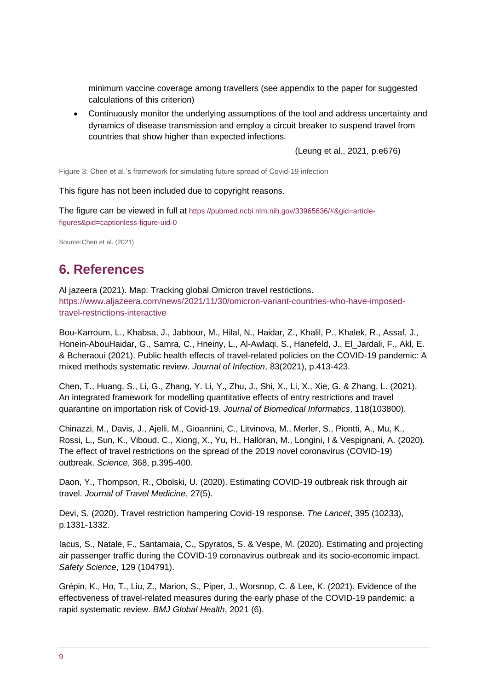minimum vaccine coverage among travellers (see appendix to the paper for suggested calculations of this criterion)

• Continuously monitor the underlying assumptions of the tool and address uncertainty and dynamics of disease transmission and employ a circuit breaker to suspend travel from countries that show higher than expected infections.

(Leung et al., 2021, p.e676)

Figure 3: Chen et al.'s framework for simulating future spread of Covid-19 infection

This figure has not been included due to copyright reasons.

The figure can be viewed in full at [https://pubmed.ncbi.nlm.nih.gov/33965636/#&gid=article](https://pubmed.ncbi.nlm.nih.gov/33965636/#&gid=article-figures&pid=captionless-figure-uid-0)[figures&pid=captionless-figure-uid-0](https://pubmed.ncbi.nlm.nih.gov/33965636/#&gid=article-figures&pid=captionless-figure-uid-0)

<span id="page-8-0"></span>Source:Chen et al. (2021)

# **6. References**

Al jazeera (2021). Map: Tracking global Omicron travel restrictions. [https://www.aljazeera.com/news/2021/11/30/omicron-variant-countries-who-have-imposed](https://www.aljazeera.com/news/2021/11/30/omicron-variant-countries-who-have-imposed-travel-restrictions-interactive)[travel-restrictions-interactive](https://www.aljazeera.com/news/2021/11/30/omicron-variant-countries-who-have-imposed-travel-restrictions-interactive)

Bou-Karroum, L., Khabsa, J., Jabbour, M., Hilal, N., Haidar, Z., Khalil, P., Khalek, R., Assaf, J., Honein-AbouHaidar, G., Samra, C., Hneiny, L., Al-Awlaqi, S., Hanefeld, J., El\_Jardali, F., Akl, E. & Bcheraoui (2021). Public health effects of travel-related policies on the COVID-19 pandemic: A mixed methods systematic review. *Journal of Infection*, 83(2021), p.413-423.

Chen, T., Huang, S., Li, G., Zhang, Y. Li, Y., Zhu, J., Shi, X., Li, X., Xie, G. & Zhang, L. (2021). An integrated framework for modelling quantitative effects of entry restrictions and travel quarantine on importation risk of Covid-19. *Journal of Biomedical Informatics*, 118(103800).

Chinazzi, M., Davis, J., Ajelli, M., Gioannini, C., Litvinova, M., Merler, S., Piontti, A., Mu, K., Rossi, L., Sun, K., Viboud, C., Xiong, X., Yu, H., Halloran, M., Longini, I & Vespignani, A. (2020). The effect of travel restrictions on the spread of the 2019 novel coronavirus (COVID-19) outbreak. *Science*, 368, p.395-400.

Daon, Y., Thompson, R., Obolski, U. (2020). Estimating COVID-19 outbreak risk through air travel. *Journal of Travel Medicine*, 27(5).

Devi, S. (2020). Travel restriction hampering Covid-19 response. *The Lancet*, 395 (10233), p.1331-1332.

Iacus, S., Natale, F., Santamaia, C., Spyratos, S. & Vespe, M. (2020). Estimating and projecting air passenger traffic during the COVID-19 coronavirus outbreak and its socio-economic impact. *Safety Science*, 129 (104791).

Grépin, K., Ho, T., Liu, Z., Marion, S., Piper, J., Worsnop, C. & Lee, K. (2021). Evidence of the effectiveness of travel-related measures during the early phase of the COVID-19 pandemic: a rapid systematic review. *BMJ Global Health*, 2021 (6).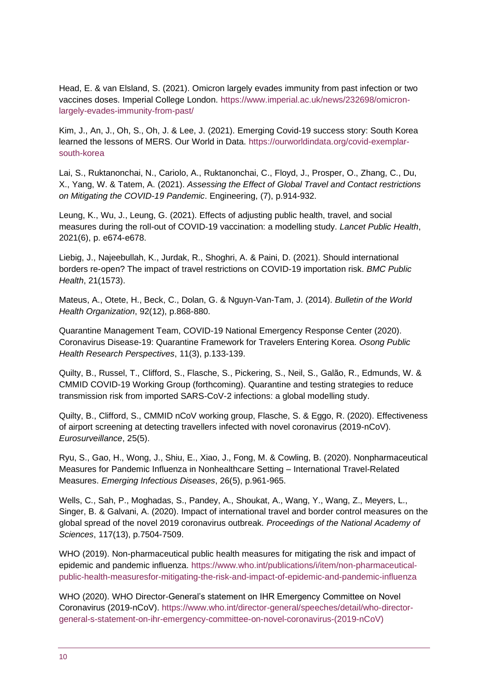Head, E. & van Elsland, S. (2021). Omicron largely evades immunity from past infection or two vaccines doses. Imperial College London. [https://www.imperial.ac.uk/news/232698/omicron](https://www.imperial.ac.uk/news/232698/omicron-largely-evades-immunity-from-past/)[largely-evades-immunity-from-past/](https://www.imperial.ac.uk/news/232698/omicron-largely-evades-immunity-from-past/)

Kim, J., An, J., Oh, S., Oh, J. & Lee, J. (2021). Emerging Covid-19 success story: South Korea learned the lessons of MERS. Our World in Data. [https://ourworldindata.org/covid-exemplar](https://ourworldindata.org/covid-exemplar-south-korea)[south-korea](https://ourworldindata.org/covid-exemplar-south-korea)

Lai, S., Ruktanonchai, N., Cariolo, A., Ruktanonchai, C., Floyd, J., Prosper, O., Zhang, C., Du, X., Yang, W. & Tatem, A. (2021). *Assessing the Effect of Global Travel and Contact restrictions on Mitigating the COVID-19 Pandemic*. Engineering, (7), p.914-932.

Leung, K., Wu, J., Leung, G. (2021). Effects of adjusting public health, travel, and social measures during the roll-out of COVID-19 vaccination: a modelling study. *Lancet Public Health*, 2021(6), p. e674-e678.

Liebig, J., Najeebullah, K., Jurdak, R., Shoghri, A. & Paini, D. (2021). Should international borders re-open? The impact of travel restrictions on COVID-19 importation risk. *BMC Public Health*, 21(1573).

Mateus, A., Otete, H., Beck, C., Dolan, G. & Nguyn-Van-Tam, J. (2014). *Bulletin of the World Health Organization*, 92(12), p.868-880.

Quarantine Management Team, COVID-19 National Emergency Response Center (2020). Coronavirus Disease-19: Quarantine Framework for Travelers Entering Korea. *Osong Public Health Research Perspectives*, 11(3), p.133-139.

Quilty, B., Russel, T., Clifford, S., Flasche, S., Pickering, S., Neil, S., Galão, R., Edmunds, W. & CMMID COVID-19 Working Group (forthcoming). Quarantine and testing strategies to reduce transmission risk from imported SARS-CoV-2 infections: a global modelling study.

Quilty, B., Clifford, S., CMMID nCoV working group, Flasche, S. & Eggo, R. (2020). Effectiveness of airport screening at detecting travellers infected with novel coronavirus (2019-nCoV). *Eurosurveillance*, 25(5).

Ryu, S., Gao, H., Wong, J., Shiu, E., Xiao, J., Fong, M. & Cowling, B. (2020). Nonpharmaceutical Measures for Pandemic Influenza in Nonhealthcare Setting – International Travel-Related Measures. *Emerging Infectious Diseases*, 26(5), p.961-965.

Wells, C., Sah, P., Moghadas, S., Pandey, A., Shoukat, A., Wang, Y., Wang, Z., Meyers, L., Singer, B. & Galvani, A. (2020). Impact of international travel and border control measures on the global spread of the novel 2019 coronavirus outbreak. *Proceedings of the National Academy of Sciences*, 117(13), p.7504-7509.

WHO (2019). Non-pharmaceutical public health measures for mitigating the risk and impact of epidemic and pandemic influenza. [https://www.who.int/publications/i/item/non-pharmaceutical](https://www.who.int/publications/i/item/non-pharmaceutical-public-health-measuresfor-mitigating-the-risk-and-impact-of-epidemic-and-pandemic-influenza)[public-health-measuresfor-mitigating-the-risk-and-impact-of-epidemic-and-pandemic-influenza](https://www.who.int/publications/i/item/non-pharmaceutical-public-health-measuresfor-mitigating-the-risk-and-impact-of-epidemic-and-pandemic-influenza)

WHO (2020). WHO Director-General's statement on IHR Emergency Committee on Novel Coronavirus (2019-nCoV). [https://www.who.int/director-general/speeches/detail/who-director](https://www.who.int/director-general/speeches/detail/who-director-general-s-statement-on-ihr-emergency-committee-on-novel-coronavirus-(2019-nCoV))[general-s-statement-on-ihr-emergency-committee-on-novel-coronavirus-\(2019-nCoV\)](https://www.who.int/director-general/speeches/detail/who-director-general-s-statement-on-ihr-emergency-committee-on-novel-coronavirus-(2019-nCoV))